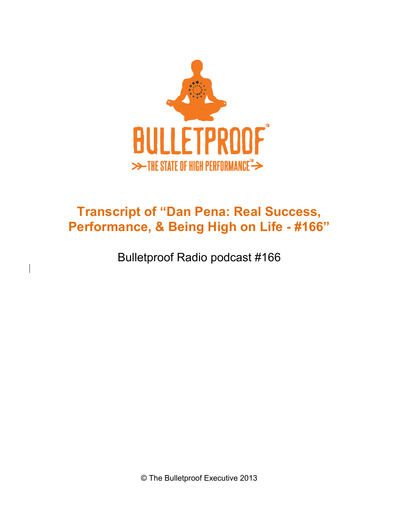

## **Transcript of "Dan Pena: Real Success, Performance, & Being High on Life - #166"**

Bulletproof Radio podcast #166

© The Bulletproof Executive 2013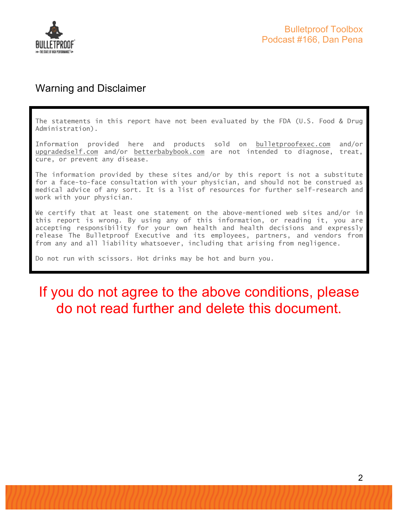

#### Warning and Disclaimer

The statements in this report have not been evaluated by the FDA (U.S. Food & Drug Administration).

Information provided here and products sold on bulletproofexec.com and/or upgradedself.com and/or betterbabybook.com are not intended to diagnose, treat, cure, or prevent any disease.

The information provided by these sites and/or by this report is not a substitute for a face-to-face consultation with your physician, and should not be construed as medical advice of any sort. It is a list of resources for further self-research and work with your physician.

We certify that at least one statement on the above-mentioned web sites and/or in this report is wrong. By using any of this information, or reading it, you are accepting responsibility for your own health and health decisions and expressly release The Bulletproof Executive and its employees, partners, and vendors from from any and all liability whatsoever, including that arising from negligence.

Do not run with scissors. Hot drinks may be hot and burn you.

# If you do not agree to the above conditions, please do not read further and delete this document.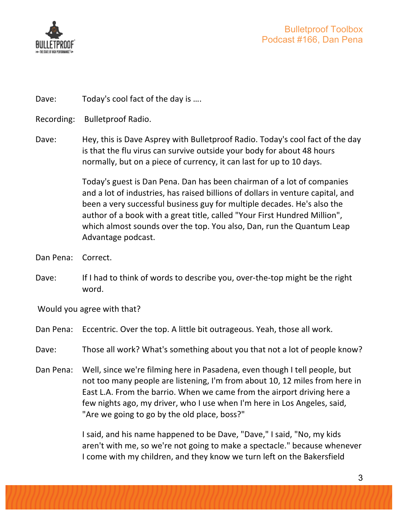

Dave: Today's cool fact of the day is ....

Recording: Bulletproof Radio.

Dave: Hey, this is Dave Asprey with Bulletproof Radio. Today's cool fact of the day is that the flu virus can survive outside your body for about 48 hours normally, but on a piece of currency, it can last for up to 10 days.

> Today's guest is Dan Pena. Dan has been chairman of a lot of companies and a lot of industries, has raised billions of dollars in venture capital, and been a very successful business guy for multiple decades. He's also the author of a book with a great title, called "Your First Hundred Million", which almost sounds over the top. You also, Dan, run the Quantum Leap Advantage podcast.

- Dan Pena: Correct.
- Dave: If I had to think of words to describe you, over-the-top might be the right word.

Would you agree with that?

- Dan Pena: Eccentric. Over the top. A little bit outrageous. Yeah, those all work.
- Dave: Those all work? What's something about you that not a lot of people know?
- Dan Pena: Well, since we're filming here in Pasadena, even though I tell people, but not too many people are listening, I'm from about 10, 12 miles from here in East L.A. From the barrio. When we came from the airport driving here a few nights ago, my driver, who I use when I'm here in Los Angeles, said, "Are we going to go by the old place, boss?"

I said, and his name happened to be Dave, "Dave," I said, "No, my kids aren't with me, so we're not going to make a spectacle." because whenever I come with my children, and they know we turn left on the Bakersfield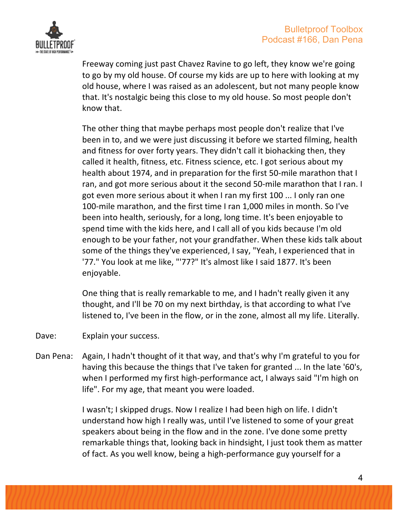

Freeway coming just past Chavez Ravine to go left, they know we're going to go by my old house. Of course my kids are up to here with looking at my old house, where I was raised as an adolescent, but not many people know that. It's nostalgic being this close to my old house. So most people don't know that.

The other thing that maybe perhaps most people don't realize that I've been in to, and we were just discussing it before we started filming, health and fitness for over forty years. They didn't call it biohacking then, they called it health, fitness, etc. Fitness science, etc. I got serious about my health about 1974, and in preparation for the first 50-mile marathon that I ran, and got more serious about it the second 50-mile marathon that I ran. I got even more serious about it when I ran my first 100 ... I only ran one 100-mile marathon, and the first time I ran 1,000 miles in month. So I've been into health, seriously, for a long, long time. It's been enjoyable to spend time with the kids here, and I call all of you kids because I'm old enough to be your father, not your grandfather. When these kids talk about some of the things they've experienced, I say, "Yeah, I experienced that in '77." You look at me like, "'77?" It's almost like I said 1877. It's been enjoyable. 

One thing that is really remarkable to me, and I hadn't really given it any thought, and I'll be 70 on my next birthday, is that according to what I've listened to, I've been in the flow, or in the zone, almost all my life. Literally.

- Dave: Explain your success.
- Dan Pena: Again, I hadn't thought of it that way, and that's why I'm grateful to you for having this because the things that I've taken for granted ... In the late '60's, when I performed my first high-performance act, I always said "I'm high on life". For my age, that meant you were loaded.

I wasn't; I skipped drugs. Now I realize I had been high on life. I didn't understand how high I really was, until I've listened to some of your great speakers about being in the flow and in the zone. I've done some pretty remarkable things that, looking back in hindsight, I just took them as matter of fact. As you well know, being a high-performance guy yourself for a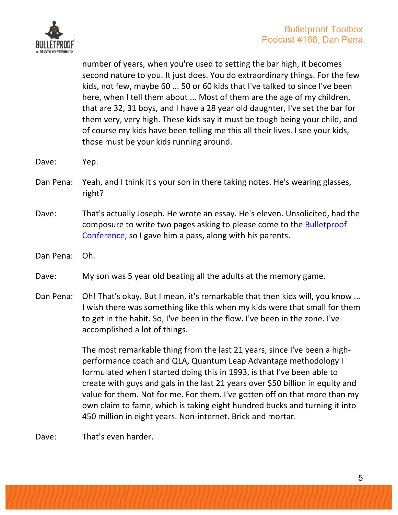

number of years, when you're used to setting the bar high, it becomes second nature to you. It just does. You do extraordinary things. For the few kids, not few, maybe 60 ... 50 or 60 kids that I've talked to since I've been here, when I tell them about ... Most of them are the age of my children, that are 32, 31 boys, and I have a 28 year old daughter, I've set the bar for them very, very high. These kids say it must be tough being your child, and of course my kids have been telling me this all their lives. I see your kids, those must be your kids running around.

- Dave: Yep.
- Dan Pena: Yeah, and I think it's your son in there taking notes. He's wearing glasses, right?
- Dave: That's actually Joseph. He wrote an essay. He's eleven. Unsolicited, had the composure to write two pages asking to please come to the Bulletproof Conference, so I gave him a pass, along with his parents.
- Dan Pena: Oh.
- Dave: My son was 5 year old beating all the adults at the memory game.
- Dan Pena: Oh! That's okay. But I mean, it's remarkable that then kids will, you know ... I wish there was something like this when my kids were that small for them to get in the habit. So, I've been in the flow. I've been in the zone. I've accomplished a lot of things.

The most remarkable thing from the last 21 years, since I've been a highperformance coach and QLA, Quantum Leap Advantage methodology I formulated when I started doing this in 1993, is that I've been able to create with guys and gals in the last 21 years over \$50 billion in equity and value for them. Not for me. For them. I've gotten off on that more than my own claim to fame, which is taking eight hundred bucks and turning it into 450 million in eight years. Non-internet. Brick and mortar.

Dave: That's even harder.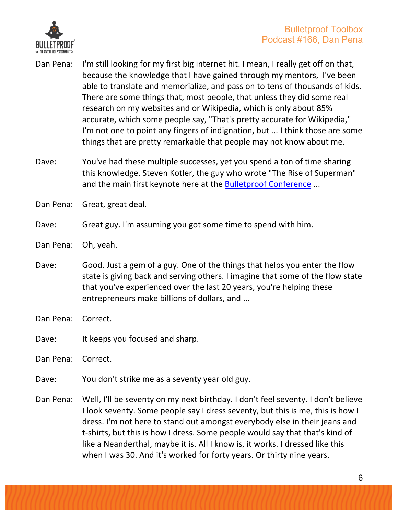



- Dan Pena: I'm still looking for my first big internet hit. I mean, I really get off on that, because the knowledge that I have gained through my mentors, I've been able to translate and memorialize, and pass on to tens of thousands of kids. There are some things that, most people, that unless they did some real research on my websites and or Wikipedia, which is only about 85% accurate, which some people say, "That's pretty accurate for Wikipedia," I'm not one to point any fingers of indignation, but ... I think those are some things that are pretty remarkable that people may not know about me.
- Dave: You've had these multiple successes, yet you spend a ton of time sharing this knowledge. Steven Kotler, the guy who wrote "The Rise of Superman" and the main first keynote here at the Bulletproof Conference ...
- Dan Pena: Great, great deal.
- Dave: Great guy. I'm assuming you got some time to spend with him.
- Dan Pena: Oh, yeah.
- Dave: Good. Just a gem of a guy. One of the things that helps you enter the flow state is giving back and serving others. I imagine that some of the flow state that you've experienced over the last 20 years, you're helping these entrepreneurs make billions of dollars, and ...
- Dan Pena: Correct.
- Dave: It keeps you focused and sharp.
- Dan Pena: Correct.
- Dave: You don't strike me as a seventy year old guy.
- Dan Pena: Well, I'll be seventy on my next birthday. I don't feel seventy. I don't believe I look seventy. Some people say I dress seventy, but this is me, this is how I dress. I'm not here to stand out amongst everybody else in their jeans and t-shirts, but this is how I dress. Some people would say that that's kind of like a Neanderthal, maybe it is. All I know is, it works. I dressed like this when I was 30. And it's worked for forty years. Or thirty nine years.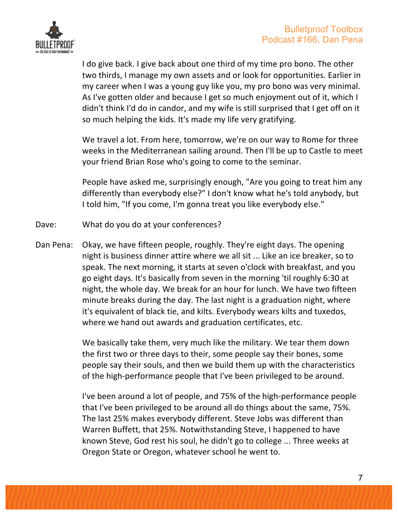

I do give back. I give back about one third of my time pro bono. The other two thirds, I manage my own assets and or look for opportunities. Earlier in my career when I was a young guy like you, my pro bono was very minimal. As I've gotten older and because I get so much enjoyment out of it, which I didn't think I'd do in candor, and my wife is still surprised that I get off on it so much helping the kids. It's made my life very gratifying.

We travel a lot. From here, tomorrow, we're on our way to Rome for three weeks in the Mediterranean sailing around. Then I'll be up to Castle to meet your friend Brian Rose who's going to come to the seminar.

People have asked me, surprisingly enough, "Are you going to treat him any differently than everybody else?" I don't know what he's told anybody, but I told him, "If you come, I'm gonna treat you like everybody else."

- Dave: What do you do at your conferences?
- Dan Pena: Okay, we have fifteen people, roughly. They're eight days. The opening night is business dinner attire where we all sit ... Like an ice breaker, so to speak. The next morning, it starts at seven o'clock with breakfast, and you go eight days. It's basically from seven in the morning 'til roughly 6:30 at night, the whole day. We break for an hour for lunch. We have two fifteen minute breaks during the day. The last night is a graduation night, where it's equivalent of black tie, and kilts. Everybody wears kilts and tuxedos, where we hand out awards and graduation certificates, etc.

We basically take them, very much like the military. We tear them down the first two or three days to their, some people say their bones, some people say their souls, and then we build them up with the characteristics of the high-performance people that I've been privileged to be around.

I've been around a lot of people, and 75% of the high-performance people that I've been privileged to be around all do things about the same, 75%. The last 25% makes everybody different. Steve Jobs was different than Warren Buffett, that 25%. Notwithstanding Steve, I happened to have known Steve, God rest his soul, he didn't go to college ... Three weeks at Oregon State or Oregon, whatever school he went to.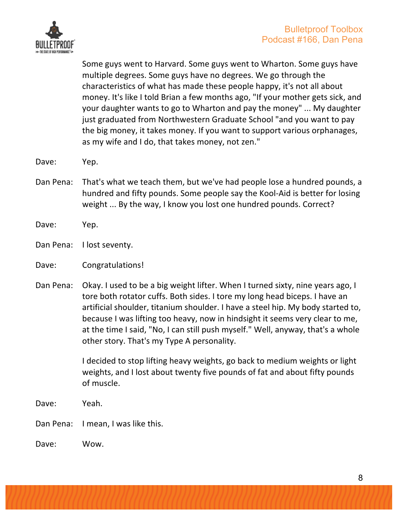

Some guys went to Harvard. Some guys went to Wharton. Some guys have multiple degrees. Some guys have no degrees. We go through the characteristics of what has made these people happy, it's not all about money. It's like I told Brian a few months ago, "If your mother gets sick, and your daughter wants to go to Wharton and pay the money" ... My daughter just graduated from Northwestern Graduate School "and you want to pay the big money, it takes money. If you want to support various orphanages, as my wife and I do, that takes money, not zen."

- Dave: Yep.
- Dan Pena: That's what we teach them, but we've had people lose a hundred pounds, a hundred and fifty pounds. Some people say the Kool-Aid is better for losing weight ... By the way, I know you lost one hundred pounds. Correct?
- Dave: Yep.
- Dan Pena: I lost seventy.
- Dave: Congratulations!
- Dan Pena: Okay. I used to be a big weight lifter. When I turned sixty, nine years ago, I tore both rotator cuffs. Both sides. I tore my long head biceps. I have an artificial shoulder, titanium shoulder. I have a steel hip. My body started to, because I was lifting too heavy, now in hindsight it seems very clear to me, at the time I said, "No, I can still push myself." Well, anyway, that's a whole other story. That's my Type A personality.

I decided to stop lifting heavy weights, go back to medium weights or light weights, and I lost about twenty five pounds of fat and about fifty pounds of muscle.

- Dave: Yeah.
- Dan Pena: I mean, I was like this.
- Dave: Wow.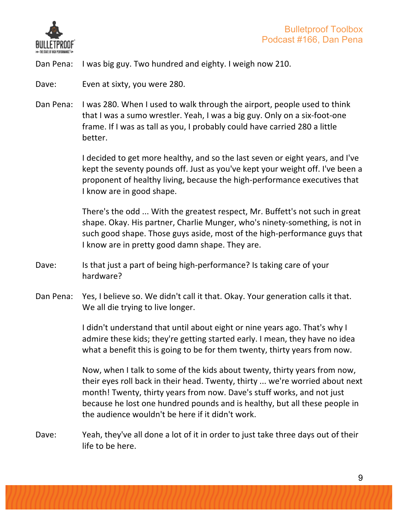

Dan Pena: I was big guy. Two hundred and eighty. I weigh now 210.

Dave: Even at sixty, you were 280.

Dan Pena: I was 280. When I used to walk through the airport, people used to think that I was a sumo wrestler. Yeah, I was a big guy. Only on a six-foot-one frame. If I was as tall as you, I probably could have carried 280 a little better. 

> I decided to get more healthy, and so the last seven or eight years, and I've kept the seventy pounds off. Just as you've kept your weight off. I've been a proponent of healthy living, because the high-performance executives that I know are in good shape.

> There's the odd ... With the greatest respect, Mr. Buffett's not such in great shape. Okay. His partner, Charlie Munger, who's ninety-something, is not in such good shape. Those guys aside, most of the high-performance guys that I know are in pretty good damn shape. They are.

- Dave: Is that just a part of being high-performance? Is taking care of your hardware?
- Dan Pena: Yes, I believe so. We didn't call it that. Okay. Your generation calls it that. We all die trying to live longer.

I didn't understand that until about eight or nine years ago. That's why I admire these kids; they're getting started early. I mean, they have no idea what a benefit this is going to be for them twenty, thirty years from now.

Now, when I talk to some of the kids about twenty, thirty years from now, their eyes roll back in their head. Twenty, thirty ... we're worried about next month! Twenty, thirty years from now. Dave's stuff works, and not just because he lost one hundred pounds and is healthy, but all these people in the audience wouldn't be here if it didn't work.

Dave: Yeah, they've all done a lot of it in order to just take three days out of their life to be here.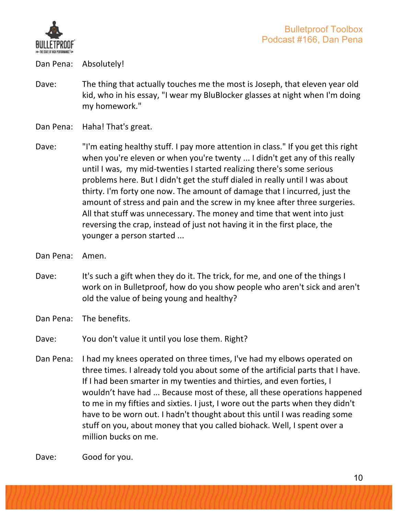

Dan Pena: Absolutely!

- Dave: The thing that actually touches me the most is Joseph, that eleven year old kid, who in his essay, "I wear my BluBlocker glasses at night when I'm doing my homework."
- Dan Pena: Haha! That's great.
- Dave: "I'm eating healthy stuff. I pay more attention in class." If you get this right when you're eleven or when you're twenty ... I didn't get any of this really until I was, my mid-twenties I started realizing there's some serious problems here. But I didn't get the stuff dialed in really until I was about thirty. I'm forty one now. The amount of damage that I incurred, just the amount of stress and pain and the screw in my knee after three surgeries. All that stuff was unnecessary. The money and time that went into just reversing the crap, instead of just not having it in the first place, the younger a person started ...
- Dan Pena: Amen.
- Dave: It's such a gift when they do it. The trick, for me, and one of the things I work on in Bulletproof, how do you show people who aren't sick and aren't old the value of being young and healthy?
- Dan Pena: The benefits.
- Dave: You don't value it until you lose them. Right?
- Dan Pena: I had my knees operated on three times, I've had my elbows operated on three times. I already told you about some of the artificial parts that I have. If I had been smarter in my twenties and thirties, and even forties, I wouldn't have had ... Because most of these, all these operations happened to me in my fifties and sixties. I just, I wore out the parts when they didn't have to be worn out. I hadn't thought about this until I was reading some stuff on you, about money that you called biohack. Well, I spent over a million bucks on me.
- Dave: Good for you.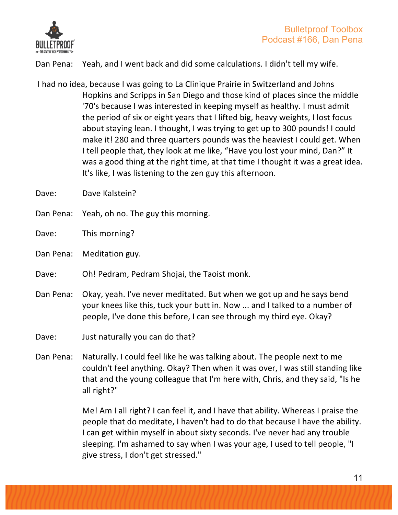

Dan Pena: Yeah, and I went back and did some calculations. I didn't tell my wife.

- I had no idea, because I was going to La Clinique Prairie in Switzerland and Johns Hopkins and Scripps in San Diego and those kind of places since the middle '70's because I was interested in keeping myself as healthy. I must admit the period of six or eight years that I lifted big, heavy weights, I lost focus about staying lean. I thought, I was trying to get up to 300 pounds! I could make it! 280 and three quarters pounds was the heaviest I could get. When I tell people that, they look at me like, "Have you lost your mind, Dan?" It was a good thing at the right time, at that time I thought it was a great idea. It's like, I was listening to the zen guy this afternoon.
- Dave: Dave Kalstein?
- Dan Pena: Yeah, oh no. The guy this morning.
- Dave: This morning?
- Dan Pena: Meditation guy.
- Dave: Oh! Pedram, Pedram Shojai, the Taoist monk.
- Dan Pena: Okay, yeah. I've never meditated. But when we got up and he says bend your knees like this, tuck your butt in. Now ... and I talked to a number of people, I've done this before, I can see through my third eye. Okay?
- Dave: Just naturally you can do that?
- Dan Pena: Naturally. I could feel like he was talking about. The people next to me couldn't feel anything. Okay? Then when it was over, I was still standing like that and the young colleague that I'm here with, Chris, and they said, "Is he all right?"

Me! Am I all right? I can feel it, and I have that ability. Whereas I praise the people that do meditate, I haven't had to do that because I have the ability. I can get within myself in about sixty seconds. I've never had any trouble sleeping. I'm ashamed to say when I was your age, I used to tell people, "I give stress, I don't get stressed."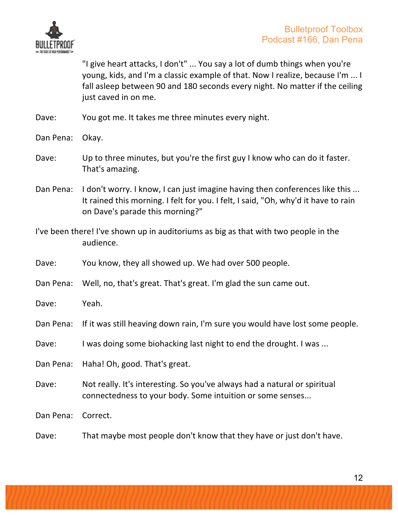

"I give heart attacks, I don't" ... You say a lot of dumb things when you're young, kids, and I'm a classic example of that. Now I realize, because I'm ... I fall asleep between 90 and 180 seconds every night. No matter if the ceiling just caved in on me.

Dave: You got me. It takes me three minutes every night.

- Dan Pena: Okay.
- Dave: Up to three minutes, but you're the first guy I know who can do it faster. That's amazing.
- Dan Pena: I don't worry. I know, I can just imagine having then conferences like this ... It rained this morning. I felt for you. I felt, I said, "Oh, why'd it have to rain on Dave's parade this morning?"
- I've been there! I've shown up in auditoriums as big as that with two people in the audience.
- Dave: You know, they all showed up. We had over 500 people.
- Dan Pena: Well, no, that's great. That's great. I'm glad the sun came out.
- Dave: Yeah.
- Dan Pena: If it was still heaving down rain, I'm sure you would have lost some people.
- Dave: I was doing some biohacking last night to end the drought. I was ...

Dan Pena: Haha! Oh, good. That's great.

Dave: Not really. It's interesting. So you've always had a natural or spiritual connectedness to your body. Some intuition or some senses...

Dan Pena: Correct.

Dave: That maybe most people don't know that they have or just don't have.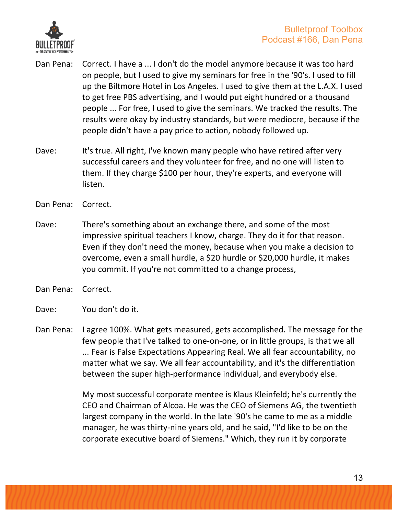



- Dan Pena: Correct. I have a ... I don't do the model anymore because it was too hard on people, but I used to give my seminars for free in the '90's. I used to fill up the Biltmore Hotel in Los Angeles. I used to give them at the L.A.X. I used to get free PBS advertising, and I would put eight hundred or a thousand people ... For free, I used to give the seminars. We tracked the results. The results were okay by industry standards, but were mediocre, because if the people didn't have a pay price to action, nobody followed up.
- Dave: It's true. All right, I've known many people who have retired after very successful careers and they volunteer for free, and no one will listen to them. If they charge \$100 per hour, they're experts, and everyone will listen.
- Dan Pena: Correct.
- Dave: There's something about an exchange there, and some of the most impressive spiritual teachers I know, charge. They do it for that reason. Even if they don't need the money, because when you make a decision to overcome, even a small hurdle, a \$20 hurdle or \$20,000 hurdle, it makes you commit. If you're not committed to a change process,
- Dan Pena: Correct.
- Dave: You don't do it.
- Dan Pena: I agree 100%. What gets measured, gets accomplished. The message for the few people that I've talked to one-on-one, or in little groups, is that we all ... Fear is False Expectations Appearing Real. We all fear accountability, no matter what we say. We all fear accountability, and it's the differentiation between the super high-performance individual, and everybody else.

My most successful corporate mentee is Klaus Kleinfeld; he's currently the CEO and Chairman of Alcoa. He was the CEO of Siemens AG, the twentieth largest company in the world. In the late '90's he came to me as a middle manager, he was thirty-nine years old, and he said, "I'd like to be on the corporate executive board of Siemens." Which, they run it by corporate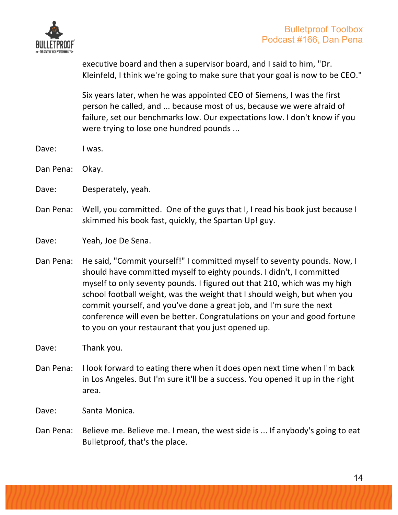

executive board and then a supervisor board, and I said to him, "Dr. Kleinfeld, I think we're going to make sure that your goal is now to be CEO."

Six years later, when he was appointed CEO of Siemens, I was the first person he called, and ... because most of us, because we were afraid of failure, set our benchmarks low. Our expectations low. I don't know if you were trying to lose one hundred pounds ...

- Dave: I was.
- Dan Pena: Okay.
- Dave: Desperately, yeah.
- Dan Pena: Well, you committed. One of the guys that I, I read his book just because I skimmed his book fast, quickly, the Spartan Up! guy.
- Dave: Yeah, Joe De Sena.
- Dan Pena: He said, "Commit yourself!" I committed myself to seventy pounds. Now, I should have committed myself to eighty pounds. I didn't, I committed myself to only seventy pounds. I figured out that 210, which was my high school football weight, was the weight that I should weigh, but when you commit yourself, and you've done a great job, and I'm sure the next conference will even be better. Congratulations on your and good fortune to you on your restaurant that you just opened up.
- Dave: Thank you.
- Dan Pena: I look forward to eating there when it does open next time when I'm back in Los Angeles. But I'm sure it'll be a success. You opened it up in the right area.
- Dave: Santa Monica.
- Dan Pena: Believe me. Believe me. I mean, the west side is ... If anybody's going to eat Bulletproof, that's the place.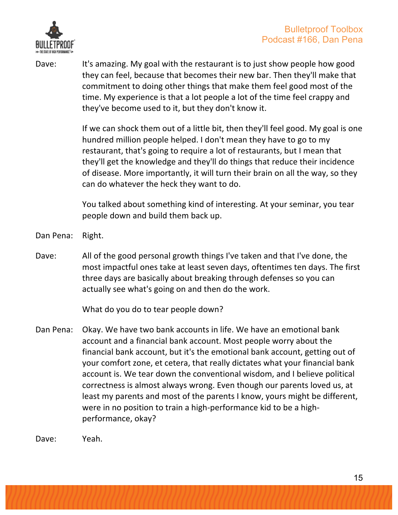

Dave: It's amazing. My goal with the restaurant is to just show people how good they can feel, because that becomes their new bar. Then they'll make that commitment to doing other things that make them feel good most of the time. My experience is that a lot people a lot of the time feel crappy and they've become used to it, but they don't know it.

> If we can shock them out of a little bit, then they'll feel good. My goal is one hundred million people helped. I don't mean they have to go to my restaurant, that's going to require a lot of restaurants, but I mean that they'll get the knowledge and they'll do things that reduce their incidence of disease. More importantly, it will turn their brain on all the way, so they can do whatever the heck they want to do.

You talked about something kind of interesting. At your seminar, you tear people down and build them back up.

- Dan Pena: Right.
- Dave: All of the good personal growth things I've taken and that I've done, the most impactful ones take at least seven days, oftentimes ten days. The first three days are basically about breaking through defenses so you can actually see what's going on and then do the work.

What do you do to tear people down?

Dan Pena: Okay. We have two bank accounts in life. We have an emotional bank account and a financial bank account. Most people worry about the financial bank account, but it's the emotional bank account, getting out of your comfort zone, et cetera, that really dictates what your financial bank account is. We tear down the conventional wisdom, and I believe political correctness is almost always wrong. Even though our parents loved us, at least my parents and most of the parents I know, yours might be different, were in no position to train a high-performance kid to be a highperformance, okay?

Dave: Yeah.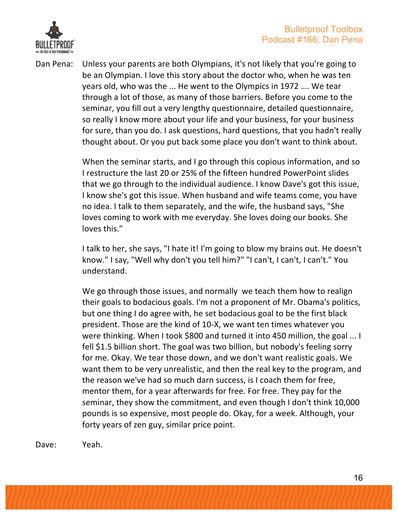

Dan Pena: Unless your parents are both Olympians, it's not likely that you're going to be an Olympian. I love this story about the doctor who, when he was ten years old, who was the ... He went to the Olympics in 1972 .... We tear through a lot of those, as many of those barriers. Before you come to the seminar, you fill out a very lengthy questionnaire, detailed questionnaire, so really I know more about your life and your business, for your business for sure, than you do. I ask questions, hard questions, that you hadn't really thought about. Or you put back some place you don't want to think about.

> When the seminar starts, and I go through this copious information, and so I restructure the last 20 or 25% of the fifteen hundred PowerPoint slides that we go through to the individual audience. I know Dave's got this issue, I know she's got this issue. When husband and wife teams come, you have no idea. I talk to them separately, and the wife, the husband says, "She loves coming to work with me everyday. She loves doing our books. She loves this."

> I talk to her, she says, "I hate it! I'm going to blow my brains out. He doesn't know." I say, "Well why don't you tell him?" "I can't, I can't, I can't." You understand.

> We go through those issues, and normally we teach them how to realign their goals to bodacious goals. I'm not a proponent of Mr. Obama's politics, but one thing I do agree with, he set bodacious goal to be the first black president. Those are the kind of 10-X, we want ten times whatever you were thinking. When I took \$800 and turned it into 450 million, the goal ... I fell \$1.5 billion short. The goal was two billion, but nobody's feeling sorry for me. Okay. We tear those down, and we don't want realistic goals. We want them to be very unrealistic, and then the real key to the program, and the reason we've had so much darn success, is I coach them for free, mentor them, for a year afterwards for free. For free. They pay for the seminar, they show the commitment, and even though I don't think 10,000 pounds is so expensive, most people do. Okay, for a week. Although, your forty years of zen guy, similar price point.

Dave: Yeah.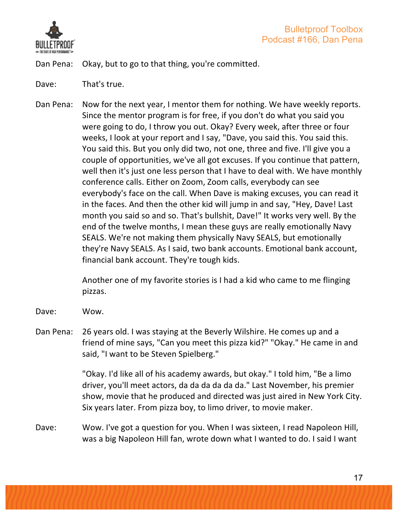

- Dan Pena: Okay, but to go to that thing, you're committed.
- Dave: That's true.
- Dan Pena: Now for the next year, I mentor them for nothing. We have weekly reports. Since the mentor program is for free, if you don't do what you said you were going to do, I throw you out. Okay? Every week, after three or four weeks, I look at your report and I say, "Dave, you said this. You said this. You said this. But you only did two, not one, three and five. I'll give you a couple of opportunities, we've all got excuses. If you continue that pattern, well then it's just one less person that I have to deal with. We have monthly conference calls. Either on Zoom, Zoom calls, everybody can see everybody's face on the call. When Dave is making excuses, you can read it in the faces. And then the other kid will jump in and say, "Hey, Dave! Last month you said so and so. That's bullshit, Dave!" It works very well. By the end of the twelve months, I mean these guys are really emotionally Navy SEALS. We're not making them physically Navy SEALS, but emotionally they're Navy SEALS. As I said, two bank accounts. Emotional bank account, financial bank account. They're tough kids.

Another one of my favorite stories is I had a kid who came to me flinging pizzas.

- Dave: Wow.
- Dan Pena: 26 years old. I was staying at the Beverly Wilshire. He comes up and a friend of mine says, "Can you meet this pizza kid?" "Okay." He came in and said, "I want to be Steven Spielberg."

"Okay. I'd like all of his academy awards, but okay." I told him, "Be a limo driver, you'll meet actors, da da da da da da." Last November, his premier show, movie that he produced and directed was just aired in New York City. Six years later. From pizza boy, to limo driver, to movie maker.

Dave: Wow. I've got a question for you. When I was sixteen, I read Napoleon Hill, was a big Napoleon Hill fan, wrote down what I wanted to do. I said I want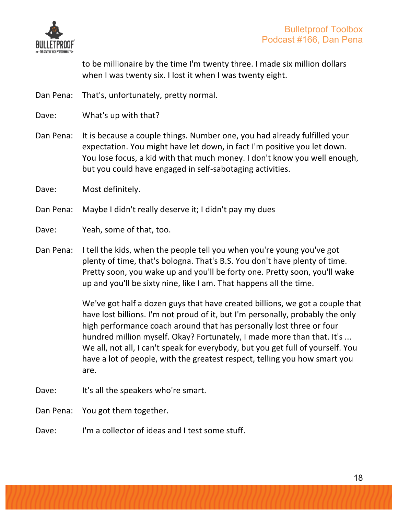

to be millionaire by the time I'm twenty three. I made six million dollars when I was twenty six. I lost it when I was twenty eight.

- Dan Pena: That's, unfortunately, pretty normal.
- Dave: What's up with that?
- Dan Pena: It is because a couple things. Number one, you had already fulfilled your expectation. You might have let down, in fact I'm positive you let down. You lose focus, a kid with that much money. I don't know you well enough, but you could have engaged in self-sabotaging activities.
- Dave: Most definitely.
- Dan Pena: Maybe I didn't really deserve it; I didn't pay my dues
- Dave: Yeah, some of that, too.
- Dan Pena: I tell the kids, when the people tell you when you're young you've got plenty of time, that's bologna. That's B.S. You don't have plenty of time. Pretty soon, you wake up and you'll be forty one. Pretty soon, you'll wake up and you'll be sixty nine, like I am. That happens all the time.

We've got half a dozen guys that have created billions, we got a couple that have lost billions. I'm not proud of it, but I'm personally, probably the only high performance coach around that has personally lost three or four hundred million myself. Okay? Fortunately, I made more than that. It's ... We all, not all, I can't speak for everybody, but you get full of yourself. You have a lot of people, with the greatest respect, telling you how smart you are. 

- Dave: It's all the speakers who're smart.
- Dan Pena: You got them together.
- Dave: I'm a collector of ideas and I test some stuff.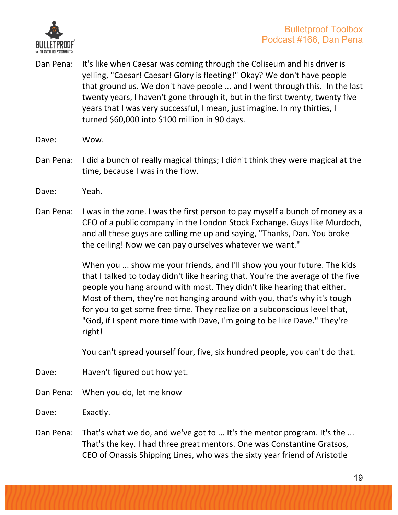

- Dan Pena: It's like when Caesar was coming through the Coliseum and his driver is yelling, "Caesar! Caesar! Glory is fleeting!" Okay? We don't have people that ground us. We don't have people ... and I went through this. In the last twenty years, I haven't gone through it, but in the first twenty, twenty five years that I was very successful, I mean, just imagine. In my thirties, I turned \$60,000 into \$100 million in 90 days.
- Dave: Wow.
- Dan Pena: I did a bunch of really magical things; I didn't think they were magical at the time, because I was in the flow.
- Dave: Yeah.
- Dan Pena: I was in the zone. I was the first person to pay myself a bunch of money as a CEO of a public company in the London Stock Exchange. Guys like Murdoch, and all these guys are calling me up and saying, "Thanks, Dan. You broke the ceiling! Now we can pay ourselves whatever we want."

When you ... show me your friends, and I'll show you your future. The kids that I talked to today didn't like hearing that. You're the average of the five people you hang around with most. They didn't like hearing that either. Most of them, they're not hanging around with you, that's why it's tough for you to get some free time. They realize on a subconscious level that, "God, if I spent more time with Dave, I'm going to be like Dave." They're right!

You can't spread yourself four, five, six hundred people, you can't do that.

- Dave: Haven't figured out how yet.
- Dan Pena: When you do, let me know
- Dave: Exactly.
- Dan Pena: That's what we do, and we've got to ... It's the mentor program. It's the ... That's the key. I had three great mentors. One was Constantine Gratsos, CEO of Onassis Shipping Lines, who was the sixty year friend of Aristotle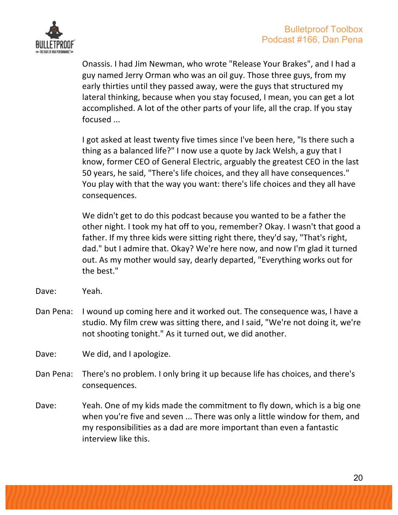

Onassis. I had Jim Newman, who wrote "Release Your Brakes", and I had a guy named Jerry Orman who was an oil guy. Those three guys, from my early thirties until they passed away, were the guys that structured my lateral thinking, because when you stay focused, I mean, you can get a lot accomplished. A lot of the other parts of your life, all the crap. If you stay focused ...

I got asked at least twenty five times since I've been here, "Is there such a thing as a balanced life?" I now use a quote by Jack Welsh, a guy that I know, former CEO of General Electric, arguably the greatest CEO in the last 50 years, he said, "There's life choices, and they all have consequences." You play with that the way you want: there's life choices and they all have consequences. 

We didn't get to do this podcast because you wanted to be a father the other night. I took my hat off to you, remember? Okay. I wasn't that good a father. If my three kids were sitting right there, they'd say, "That's right, dad." but I admire that. Okay? We're here now, and now I'm glad it turned out. As my mother would say, dearly departed, "Everything works out for the best."

- Dave: Yeah.
- Dan Pena: I wound up coming here and it worked out. The consequence was, I have a studio. My film crew was sitting there, and I said, "We're not doing it, we're not shooting tonight." As it turned out, we did another.
- Dave: We did, and I apologize.
- Dan Pena: There's no problem. I only bring it up because life has choices, and there's consequences.
- Dave: Yeah. One of my kids made the commitment to fly down, which is a big one when you're five and seven ... There was only a little window for them, and my responsibilities as a dad are more important than even a fantastic interview like this.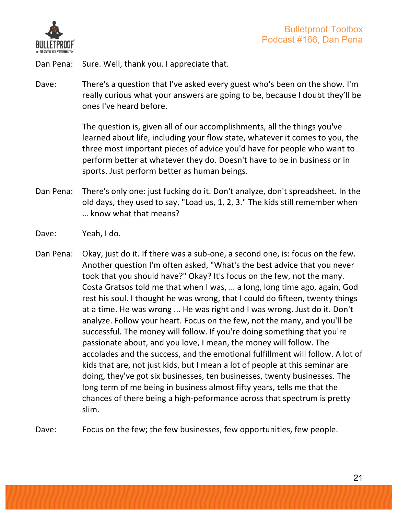

Dan Pena: Sure. Well, thank you. I appreciate that.

Dave: There's a question that I've asked every guest who's been on the show. I'm really curious what your answers are going to be, because I doubt they'll be ones I've heard before.

> The question is, given all of our accomplishments, all the things you've learned about life, including your flow state, whatever it comes to you, the three most important pieces of advice you'd have for people who want to perform better at whatever they do. Doesn't have to be in business or in sports. Just perform better as human beings.

- Dan Pena: There's only one: just fucking do it. Don't analyze, don't spreadsheet. In the old days, they used to say, "Load us, 1, 2, 3." The kids still remember when ... know what that means?
- Dave: Yeah, I do.
- Dan Pena: Okay, just do it. If there was a sub-one, a second one, is: focus on the few. Another question I'm often asked, "What's the best advice that you never took that you should have?" Okay? It's focus on the few, not the many. Costa Gratsos told me that when I was, ... a long, long time ago, again, God rest his soul. I thought he was wrong, that I could do fifteen, twenty things at a time. He was wrong ... He was right and I was wrong. Just do it. Don't analyze. Follow your heart. Focus on the few, not the many, and you'll be successful. The money will follow. If you're doing something that you're passionate about, and you love, I mean, the money will follow. The accolades and the success, and the emotional fulfillment will follow. A lot of kids that are, not just kids, but I mean a lot of people at this seminar are doing, they've got six businesses, ten businesses, twenty businesses. The long term of me being in business almost fifty years, tells me that the chances of there being a high-peformance across that spectrum is pretty slim.

Dave: Focus on the few; the few businesses, few opportunities, few people.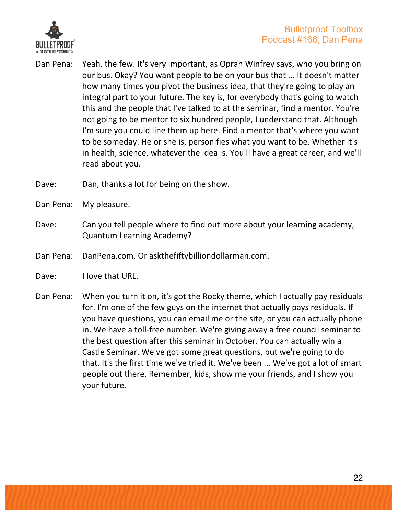

- Dan Pena: Yeah, the few. It's very important, as Oprah Winfrey says, who you bring on our bus. Okay? You want people to be on your bus that ... It doesn't matter how many times you pivot the business idea, that they're going to play an integral part to your future. The key is, for everybody that's going to watch this and the people that I've talked to at the seminar, find a mentor. You're not going to be mentor to six hundred people, I understand that. Although I'm sure you could line them up here. Find a mentor that's where you want to be someday. He or she is, personifies what you want to be. Whether it's in health, science, whatever the idea is. You'll have a great career, and we'll read about you.
- Dave: Dan, thanks a lot for being on the show.
- Dan Pena: My pleasure.
- Dave: Can you tell people where to find out more about your learning academy, Quantum Learning Academy?
- Dan Pena: DanPena.com. Or askthefiftybilliondollarman.com.
- Dave: **I** love that URL.
- Dan Pena: When you turn it on, it's got the Rocky theme, which I actually pay residuals for. I'm one of the few guys on the internet that actually pays residuals. If you have questions, you can email me or the site, or you can actually phone in. We have a toll-free number. We're giving away a free council seminar to the best question after this seminar in October. You can actually win a Castle Seminar. We've got some great questions, but we're going to do that. It's the first time we've tried it. We've been ... We've got a lot of smart people out there. Remember, kids, show me your friends, and I show you your future.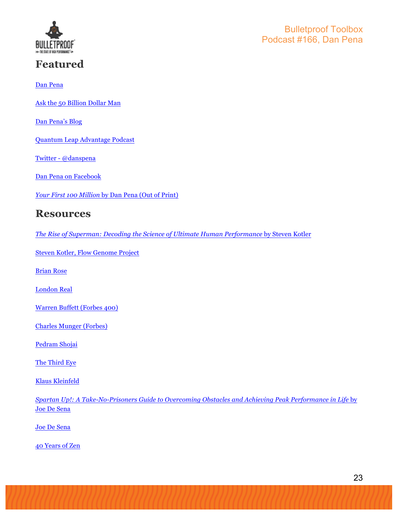

Dan Pena

Ask the 50 Billion Dollar Man

Dan Pena's Blog

Quantum Leap Advantage Podcast

Twitter - @danspena

Dan Pena on Facebook

*Your First 100 Million* by Dan Pena (Out of Print)

#### **Resources**

*The Rise of Superman: Decoding the Science of Ultimate Human Performance* by Steven Kotler

Steven Kotler, Flow Genome Project

Brian Rose

London Real

Warren Buffett (Forbes 400)

Charles Munger (Forbes)

Pedram Shojai

The Third Eye

Klaus Kleinfeld

*Spartan Up!: A Take-No-Prisoners Guide to Overcoming Obstacles and Achieving Peak Performance in Life* by Joe De Sena

Joe De Sena

40 Years of Zen